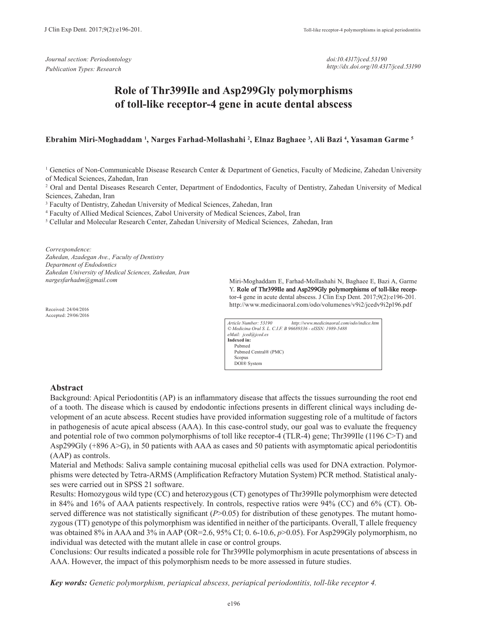*Journal section: Periodontology Publication Types: Research*

*doi:10.4317/jced.53190 http://dx.doi.org/10.4317/jced.53190*

# **Role of Thr399Ile and Asp299Gly polymorphisms of toll-like receptor-4 gene in acute dental abscess**

**Ebrahim Miri-Moghaddam 1 , Narges Farhad-Mollashahi 2 , Elnaz Baghaee 3 , Ali Bazi 4 , Yasaman Garme 5**

<sup>1</sup> Genetics of Non-Communicable Disease Research Center & Department of Genetics, Faculty of Medicine, Zahedan University of Medical Sciences, Zahedan, Iran

2 Oral and Dental Diseases Research Center, Department of Endodontics, Faculty of Dentistry, Zahedan University of Medical Sciences, Zahedan, Iran

<sup>3</sup> Faculty of Dentistry, Zahedan University of Medical Sciences, Zahedan, Iran

4 Faculty of Allied Medical Sciences, Zabol University of Medical Sciences, Zabol, Iran

<sup>5</sup> Cellular and Molecular Research Center, Zahedan University of Medical Sciences, Zahedan, Iran

*Correspondence:*

*Zahedan, Azadegan Ave., Faculty of Dentistry Department of Endodontics Zahedan University of Medical Sciences, Zahedan, Iran nargesfarhadm@gmail.com*

Miri-Moghaddam E, Farhad-Mollashahi N, Baghaee E, Bazi A, Garme Y. Role of Thr399Ile and Asp299Gly polymorphisms of toll-like receptor-4 gene in acute dental abscess. J Clin Exp Dent. 2017;9(2):e196-201. http://www.medicinaoral.com/odo/volumenes/v9i2/jcedv9i2p196.pdf

Received: 24/04/2016 Accepted: 29/06/2016

| Article Number: 53190 | http://www.medicinaoral.com/odo/indice.htm                 |
|-----------------------|------------------------------------------------------------|
|                       | © Medicina Oral S. L. C.I.F. B 96689336 - eISSN: 1989-5488 |
| eMail: jced@jced.es   |                                                            |
| Indexed in:           |                                                            |
| Pubmed                |                                                            |
| Pubmed Central® (PMC) |                                                            |
| Scopus                |                                                            |
| DOI® System           |                                                            |

#### **Abstract**

Background: Apical Periodontitis (AP) is an inflammatory disease that affects the tissues surrounding the root end of a tooth. The disease which is caused by endodontic infections presents in different clinical ways including development of an acute abscess. Recent studies have provided information suggesting role of a multitude of factors in pathogenesis of acute apical abscess (AAA). In this case-control study, our goal was to evaluate the frequency and potential role of two common polymorphisms of toll like receptor-4 (TLR-4) gene; Thr399Ile (1196 C>T) and Asp299Gly (+896 A>G), in 50 patients with AAA as cases and 50 patients with asymptomatic apical periodontitis (AAP) as controls.

Material and Methods: Saliva sample containing mucosal epithelial cells was used for DNA extraction. Polymorphisms were detected by Tetra-ARMS (Amplification Refractory Mutation System) PCR method. Statistical analyses were carried out in SPSS 21 software.

Results: Homozygous wild type (CC) and heterozygous (CT) genotypes of Thr399Ile polymorphism were detected in 84% and 16% of AAA patients respectively. In controls, respective ratios were 94% (CC) and 6% (CT). Observed difference was not statistically significant (*P*>0.05) for distribution of these genotypes. The mutant homozygous (TT) genotype of this polymorphism was identified in neither of the participants. Overall, T allele frequency was obtained 8% in AAA and 3% in AAP (OR=2.6, 95% CI; 0.6-10.6, *p*>0.05). For Asp299Gly polymorphism, no individual was detected with the mutant allele in case or control groups.

Conclusions: Our results indicated a possible role for Thr399Ile polymorphism in acute presentations of abscess in AAA. However, the impact of this polymorphism needs to be more assessed in future studies.

*Key words: Genetic polymorphism, periapical abscess, periapical periodontitis, toll-like receptor 4.*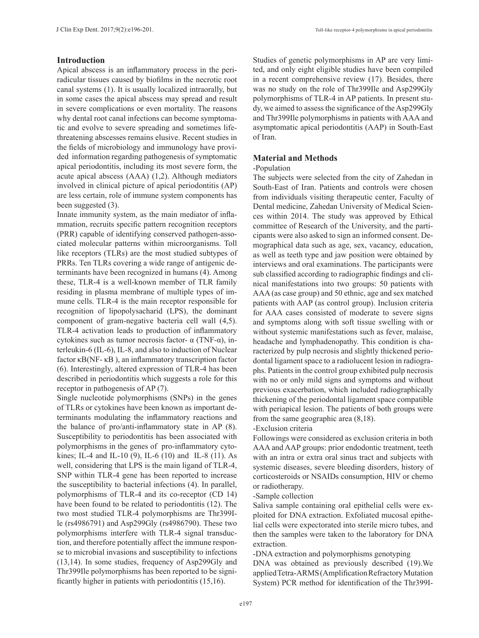## **Introduction**

Apical abscess is an inflammatory process in the periradicular tissues caused by biofilms in the necrotic root canal systems (1). It is usually localized intraorally, but in some cases the apical abscess may spread and result in severe complications or even mortality. The reasons why dental root canal infections can become symptomatic and evolve to severe spreading and sometimes lifethreatening abscesses remains elusive. Recent studies in the fields of microbiology and immunology have provided information regarding pathogenesis of symptomatic apical periodontitis, including its most severe form, the acute apical abscess (AAA) (1,2). Although mediators involved in clinical picture of apical periodontitis (AP) are less certain, role of immune system components has been suggested (3).

Innate immunity system, as the main mediator of inflammation, recruits specific pattern recognition receptors (PRR) capable of identifying conserved pathogen-associated molecular patterns within microorganisms. Toll like receptors (TLRs) are the most studied subtypes of PRRs. Ten TLRs covering a wide range of antigenic determinants have been recognized in humans (4). Among these, TLR-4 is a well-known member of TLR family residing in plasma membrane of multiple types of immune cells. TLR-4 is the main receptor responsible for recognition of lipopolysacharid (LPS), the dominant component of gram-negative bacteria cell wall (4,5). TLR-4 activation leads to production of inflammatory cytokines such as tumor necrosis factor- α (TNF-α), interleukin-6 (IL-6), IL-8, and also to induction of Nuclear factor κB(NF- κB ), an inflammatory transcription factor (6). Interestingly, altered expression of TLR-4 has been described in periodontitis which suggests a role for this receptor in pathogenesis of AP (7).

Single nucleotide polymorphisms (SNPs) in the genes of TLRs or cytokines have been known as important determinants modulating the inflammatory reactions and the balance of pro/anti-inflammatory state in AP (8). Susceptibility to periodontitis has been associated with polymorphisms in the genes of pro-inflammatory cytokines; IL-4 and IL-10 (9), IL-6 (10) and IL-8 (11). As well, considering that LPS is the main ligand of TLR-4, SNP within TLR-4 gene has been reported to increase the susceptibility to bacterial infections (4). In parallel, polymorphisms of TLR-4 and its co-receptor (CD 14) have been found to be related to periodontitis (12). The two most studied TLR-4 polymorphisms are Thr399Ile (rs4986791) and Asp299Gly (rs4986790). These two polymorphisms interfere with TLR-4 signal transduction, and therefore potentially affect the immune response to microbial invasions and susceptibility to infections (13,14). In some studies, frequency of Asp299Gly and Thr399Ile polymorphisms has been reported to be significantly higher in patients with periodontitis (15,16).

Studies of genetic polymorphisms in AP are very limited, and only eight eligible studies have been compiled in a recent comprehensive review (17). Besides, there was no study on the role of Thr399Ile and Asp299Gly polymorphisms of TLR-4 in AP patients. In present study, we aimed to assess the significance of the Asp299Gly and Thr399Ile polymorphisms in patients with AAA and asymptomatic apical periodontitis (AAP) in South-East of Iran.

## **Material and Methods**

## -Population

The subjects were selected from the city of Zahedan in South-East of Iran. Patients and controls were chosen from individuals visiting therapeutic center, Faculty of Dental medicine, Zahedan University of Medical Sciences within 2014. The study was approved by Ethical committee of Research of the University, and the participants were also asked to sign an informed consent. Demographical data such as age, sex, vacancy, education, as well as teeth type and jaw position were obtained by interviews and oral examinations. The participants were sub classified according to radiographic findings and clinical manifestations into two groups: 50 patients with AAA (as case group) and 50 ethnic, age and sex matched patients with AAP (as control group). Inclusion criteria for AAA cases consisted of moderate to severe signs and symptoms along with soft tissue swelling with or without systemic manifestations such as fever, malaise, headache and lymphadenopathy. This condition is characterized by pulp necrosis and slightly thickened periodontal ligament space to a radiolucent lesion in radiographs. Patients in the control group exhibited pulp necrosis with no or only mild signs and symptoms and without previous exacerbation, which included radiographically thickening of the periodontal ligament space compatible with periapical lesion. The patients of both groups were from the same geographic area (8,18).

## -Exclusion criteria

Followings were considered as exclusion criteria in both AAA and AAP groups: prior endodontic treatment, teeth with an intra or extra oral sinus tract and subjects with systemic diseases, severe bleeding disorders, history of corticosteroids or NSAIDs consumption, HIV or chemo or radiotherapy.

#### -Sample collection

Saliva sample containing oral epithelial cells were exploited for DNA extraction. Exfoliated mucosal epithelial cells were expectorated into sterile micro tubes, and then the samples were taken to the laboratory for DNA extraction.

-DNA extraction and polymorphisms genotyping

DNA was obtained as previously described (19).We applied Tetra-ARMS (Amplification Refractory Mutation System) PCR method for identification of the Thr399I-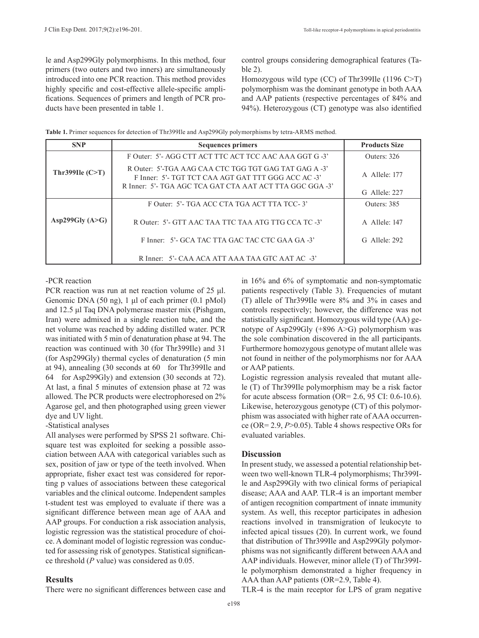le and Asp299Gly polymorphisms. In this method, four primers (two outers and two inners) are simultaneously introduced into one PCR reaction. This method provides highly specific and cost-effective allele-specific amplifications. Sequences of primers and length of PCR products have been presented in table 1.

control groups considering demographical features (Table 2).

Homozygous wild type (CC) of Thr399Ile (1196 C>T) polymorphism was the dominant genotype in both AAA and AAP patients (respective percentages of 84% and 94%). Heterozygous (CT) genotype was also identified

| Table 1. Primer sequences for detection of Thr399Ile and Asp299Gly polymorphisms by tetra-ARMS method. |  |  |
|--------------------------------------------------------------------------------------------------------|--|--|
|                                                                                                        |  |  |

| <b>SNP</b>        | <b>Sequences primers</b>                                                                                                                                                 | <b>Products Size</b> |
|-------------------|--------------------------------------------------------------------------------------------------------------------------------------------------------------------------|----------------------|
|                   | F Outer: 5'- AGG CTT ACT TTC ACT TCC AAC AAA GGT G-3'                                                                                                                    | Outers: 326          |
| Thr399Ile $(C>T)$ | R Outer: 5'-TGA AAG CAA CTC TGG TGT GAG TAT GAG A -3'<br>F Inner: 5'- TGT TCT CAA AGT GAT TTT GGG ACC AC -3'<br>R Inner: 5'- TGA AGC TCA GAT CTA AAT ACT TTA GGC GGA -3' | A Allele: 177        |
|                   |                                                                                                                                                                          | G Allele: 227        |
|                   | F Outer: 5'- TGA ACC CTA TGA ACT TTA TCC-3'                                                                                                                              | Outers: 385          |
| Asp299Gly $(A>G)$ | R Outer: 5'- GTT AAC TAA TTC TAA ATG TTG CCA TC -3'                                                                                                                      | A Allele: 147        |
|                   | F Inner: 5'- GCA TAC TTA GAC TAC CTC GAA GA -3'                                                                                                                          | $G$ Allele 292       |
|                   | R Inner: 5'- CAA ACA ATT AAA TAA GTC AAT AC -3'                                                                                                                          |                      |

# -PCR reaction

PCR reaction was run at net reaction volume of 25 μl. Genomic DNA (50 ng), 1 μl of each primer (0.1 pMol) and 12.5 μl Taq DNA polymerase master mix (Pishgam, Iran) were admixed in a single reaction tube, and the net volume was reached by adding distilled water. PCR was initiated with 5 min of denaturation phase at 94. The reaction was continued with 30 (for Thr399Ile) and 31 (for Asp299Gly) thermal cycles of denaturation (5 min at 94), annealing (30 seconds at 60 for Thr399Ile and 64 for Asp299Gly) and extension (30 seconds at 72). At last, a final 5 minutes of extension phase at 72 was allowed. The PCR products were electrophoresed on 2% Agarose gel, and then photographed using green viewer dye and UV light.

-Statistical analyses

All analyses were performed by SPSS 21 software. Chisquare test was exploited for seeking a possible association between AAA with categorical variables such as sex, position of jaw or type of the teeth involved. When appropriate, fisher exact test was considered for reporting p values of associations between these categorical variables and the clinical outcome. Independent samples t-student test was employed to evaluate if there was a significant difference between mean age of AAA and AAP groups. For conduction a risk association analysis, logistic regression was the statistical procedure of choice. A dominant model of logistic regression was conducted for assessing risk of genotypes. Statistical significance threshold (*P* value) was considered as 0.05.

## **Results**

There were no significant differences between case and

in 16% and 6% of symptomatic and non-symptomatic patients respectively (Table 3). Frequencies of mutant (T) allele of Thr399Ile were 8% and 3% in cases and controls respectively; however, the difference was not statistically significant. Homozygous wild type (AA) genotype of Asp299Gly (+896 A>G) polymorphism was the sole combination discovered in the all participants. Furthermore homozygous genotype of mutant allele was not found in neither of the polymorphisms nor for AAA or AAP patients.

Logistic regression analysis revealed that mutant allele (T) of Thr399Ile polymorphism may be a risk factor for acute abscess formation (OR=  $2.6$ , 95 CI: 0.6-10.6). Likewise, heterozygous genotype (CT) of this polymorphism was associated with higher rate of AAA occurrence (OR= 2.9, *P*>0.05). Table 4 shows respective ORs for evaluated variables.

## **Discussion**

In present study, we assessed a potential relationship between two well-known TLR-4 polymorphisms; Thr399Ile and Asp299Gly with two clinical forms of periapical disease; AAA and AAP. TLR-4 is an important member of antigen recognition compartment of innate immunity system. As well, this receptor participates in adhesion reactions involved in transmigration of leukocyte to infected apical tissues (20). In current work, we found that distribution of Thr399Ile and Asp299Gly polymorphisms was not significantly different between AAA and AAP individuals. However, minor allele (T) of Thr399Ile polymorphism demonstrated a higher frequency in AAA than AAP patients (OR=2.9, Table 4).

TLR-4 is the main receptor for LPS of gram negative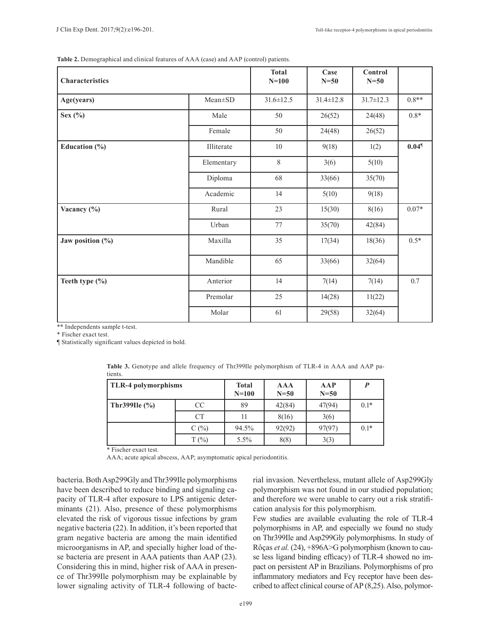**Table 2.** Demographical and clinical features of AAA (case) and AAP (control) patients.

| Characteristics      |            | <b>Total</b><br>$N=100$ | Case<br>$N=50$  | Control<br>$N=50$ |         |
|----------------------|------------|-------------------------|-----------------|-------------------|---------|
| Age(years)           | Mean±SD    | $31.6 \pm 12.5$         | $31.4 \pm 12.8$ | $31.7 \pm 12.3$   | $0.8**$ |
| Sex $(\%)$           | Male       | 50                      | 26(52)          | 24(48)            | $0.8*$  |
|                      | Female     | 50                      | 24(48)          | 26(52)            |         |
| Education (%)        | Illiterate | 10                      | 9(18)           | 1(2)              | 0.049   |
|                      | Elementary | 8                       | 3(6)            | 5(10)             |         |
|                      | Diploma    | 68                      | 33(66)          | 35(70)            |         |
|                      | Academic   | 14                      | 5(10)           | 9(18)             |         |
| Vacancy (%)          | Rural      | 23                      | 15(30)          | 8(16)             | $0.07*$ |
|                      | Urban      | 77                      | 35(70)          | 42(84)            |         |
| Jaw position $(\% )$ | Maxilla    | 35                      | 17(34)          | 18(36)            | $0.5*$  |
|                      | Mandible   | 65                      | 33(66)          | 32(64)            |         |
| Teeth type (%)       | Anterior   | 14                      | 7(14)           | 7(14)             | $0.7\,$ |
|                      | Premolar   | 25                      | 14(28)          | 11(22)            |         |
|                      | Molar      | 61                      | 29(58)          | 32(64)            |         |

\*\* Independents sample t-test.

\* Fischer exact test.

¶ Statistically significant values depicted in bold.

| <b>TLR-4 polymorphisms</b> |           | <b>Total</b><br>$N=100$ | <b>AAA</b><br>$N=50$ | AAP<br>$N=50$ | P      |
|----------------------------|-----------|-------------------------|----------------------|---------------|--------|
| <b>Thr399Ile</b> $(\% )$   | CC.       | 89                      | 42(84)               | 47(94)        | $0.1*$ |
|                            | <b>CT</b> |                         | 8(16)                | 3(6)          |        |
|                            | $C($ %)   | 94.5%                   | 92(92)               | 97(97)        | $0.1*$ |
|                            | $T(\%)$   | $5.5\%$                 | 8(8)                 | 3(3)          |        |

**Table 3.** Genotype and allele frequency of Thr399Ile polymorphism of TLR-4 in AAA and AAP patients.

\* Fischer exact test.

AAA; acute apical abscess, AAP; asymptomatic apical periodontitis.

bacteria. Both Asp299Gly and Thr399Ile polymorphisms have been described to reduce binding and signaling capacity of TLR-4 after exposure to LPS antigenic determinants (21). Also, presence of these polymorphisms elevated the risk of vigorous tissue infections by gram negative bacteria (22). In addition, it's been reported that gram negative bacteria are among the main identified microorganisms in AP, and specially higher load of these bacteria are present in AAA patients than AAP (23). Considering this in mind, higher risk of AAA in presence of Thr399Ile polymorphism may be explainable by lower signaling activity of TLR-4 following of bacte-

rial invasion. Nevertheless, mutant allele of Asp299Gly polymorphism was not found in our studied population; and therefore we were unable to carry out a risk stratification analysis for this polymorphism.

Few studies are available evaluating the role of TLR-4 polymorphisms in AP, and especially we found no study on Thr399Ile and Asp299Gly polymorphisms. In study of Rôças *et al.* (24), +896A>G polymorphism (known to cause less ligand binding efficacy) of TLR-4 showed no impact on persistent AP in Brazilians. Polymorphisms of pro inflammatory mediators and Fcү receptor have been described to affect clinical course of AP (8,25). Also, polymor-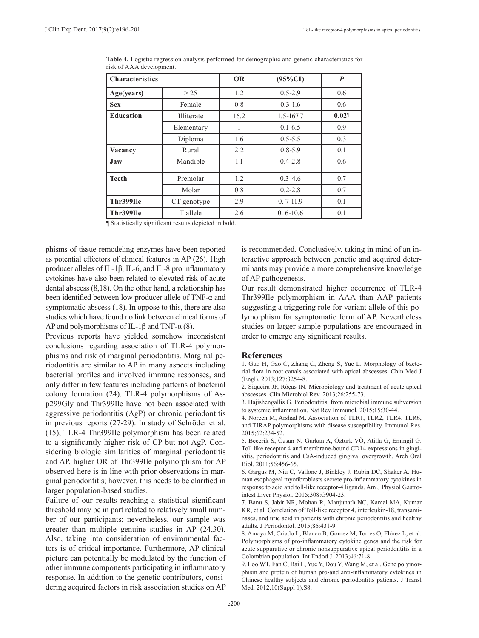| <b>Characteristics</b> |             | <b>OR</b> | $(95\%CI)$   | $\boldsymbol{P}$ |
|------------------------|-------------|-----------|--------------|------------------|
| Age(years)             | > 25        | 1.2       | $0.5 - 2.9$  | 0.6              |
| <b>Sex</b>             | Female      | 0.8       | $0.3 - 1.6$  | 0.6              |
| <b>Education</b>       | Illiterate  | 16.2      | 1.5-167.7    | 0.029            |
|                        | Elementary  | 1         | $0.1 - 6.5$  | 0.9              |
|                        | Diploma     | 1.6       | $0.5 - 5.5$  | 0.3              |
| Vacancy                | Rural       | 2.2       | $0.8 - 5.9$  | 0.1              |
| Jaw                    | Mandible    | 1.1       | $0.4 - 2.8$  | 0.6              |
| <b>Teeth</b>           | Premolar    | 1.2       | $0.3 - 4.6$  | 0.7              |
|                        | Molar       | 0.8       | $0.2 - 2.8$  | 0.7              |
| Thr399Ile              | CT genotype | 2.9       | $0, 7-11.9$  | 0.1              |
| Thr399Ile              | T allele    | 2.6       | $0.6 - 10.6$ | 0.1              |

**Table 4.** Logistic regression analysis performed for demographic and genetic characteristics for risk of AAA development.

¶ Statistically significant results depicted in bold.

phisms of tissue remodeling enzymes have been reported as potential effectors of clinical features in AP (26). High producer alleles of IL-1β, IL-6, and IL-8 pro inflammatory cytokines have also been related to elevated risk of acute dental abscess (8,18). On the other hand, a relationship has been identified between low producer allele of TNF-α and symptomatic abscess (18). In oppose to this, there are also studies which have found no link between clinical forms of AP and polymorphisms of IL-1 $\beta$  and TNF- $\alpha$  (8).

Previous reports have yielded somehow inconsistent conclusions regarding association of TLR-4 polymorphisms and risk of marginal periodontitis. Marginal periodontitis are similar to AP in many aspects including bacterial profiles and involved immune responses, and only differ in few features including patterns of bacterial colony formation (24). TLR-4 polymorphisms of Asp299Gly and Thr399Ile have not been associated with aggressive periodontitis (AgP) or chronic periodontitis in previous reports (27-29). In study of Schröder et al. (15), TLR-4 Thr399Ile polymorphism has been related to a significantly higher risk of CP but not AgP. Considering biologic similarities of marginal periodontitis and AP, higher OR of Thr399Ile polymorphism for AP observed here is in line with prior observations in marginal periodontitis; however, this needs to be clarified in larger population-based studies.

Failure of our results reaching a statistical significant threshold may be in part related to relatively small number of our participants; nevertheless, our sample was greater than multiple genuine studies in AP (24,30). Also, taking into consideration of environmental factors is of critical importance. Furthermore, AP clinical picture can potentially be modulated by the function of other immune components participating in inflammatory response. In addition to the genetic contributors, considering acquired factors in risk association studies on AP is recommended. Conclusively, taking in mind of an interactive approach between genetic and acquired determinants may provide a more comprehensive knowledge of AP pathogenesis.

Our result demonstrated higher occurrence of TLR-4 Thr399Ile polymorphism in AAA than AAP patients suggesting a triggering role for variant allele of this polymorphism for symptomatic form of AP. Nevertheless studies on larger sample populations are encouraged in order to emerge any significant results.

#### **References**

1. Guo H, Gao C, Zhang C, Zheng S, Yue L. Morphology of bacterial flora in root canals associated with apical abscesses. Chin Med J (Engl). 2013;127:3254-8.

2. Siqueira JF, Rôças IN. Microbiology and treatment of acute apical abscesses. Clin Microbiol Rev. 2013;26:255-73.

3. Hajishengallis G. Periodontitis: from microbial immune subversion to systemic inflammation. Nat Rev Immunol. 2015;15:30-44.

4. Noreen M, Arshad M. Association of TLR1, TLR2, TLR4, TLR6, and TIRAP polymorphisms with disease susceptibility. Immunol Res. 2015;62:234-52.

5. Becerik S, Özsan N, Gürkan A, Öztürk VÖ, Atilla G, Emingil G. Toll like receptor 4 and membrane-bound CD14 expressions in gingivitis, periodontitis and CsA-induced gingival overgrowth. Arch Oral Biol. 2011;56:456-65.

6. Gargus M, Niu C, Vallone J, Binkley J, Rubin DC, Shaker A. Human esophageal myofibroblasts secrete pro-inflammatory cytokines in response to acid and toll-like receptor-4 ligands. Am J Physiol Gastrointest Liver Physiol. 2015;308:G904-23.

7. Banu S, Jabir NR, Mohan R, Manjunath NC, Kamal MA, Kumar KR, et al. Correlation of Toll-like receptor 4, interleukin-18, transaminases, and uric acid in patients with chronic periodontitis and healthy adults. J Periodontol. 2015;86:431-9.

8. Amaya M, Criado L, Blanco B, Gomez M, Torres O, Flórez L, et al. Polymorphisms of pro-inflammatory cytokine genes and the risk for acute suppurative or chronic nonsuppurative apical periodontitis in a Colombian population. Int Endod J. 2013;46:71-8.

9. Loo WT, Fan C, Bai L, Yue Y, Dou Y, Wang M, et al. Gene polymorphism and protein of human pro-and anti-inflammatory cytokines in Chinese healthy subjects and chronic periodontitis patients. J Transl Med. 2012;10(Suppl 1):S8.